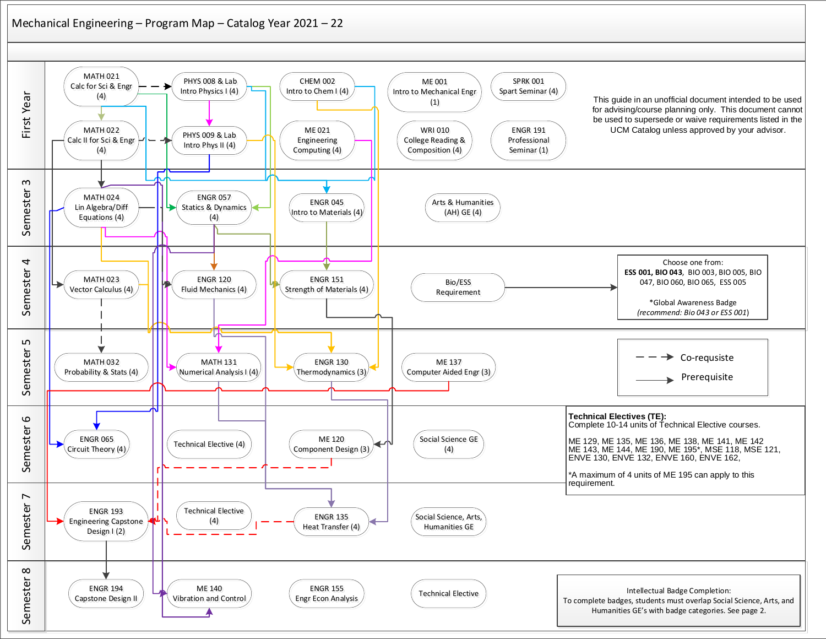